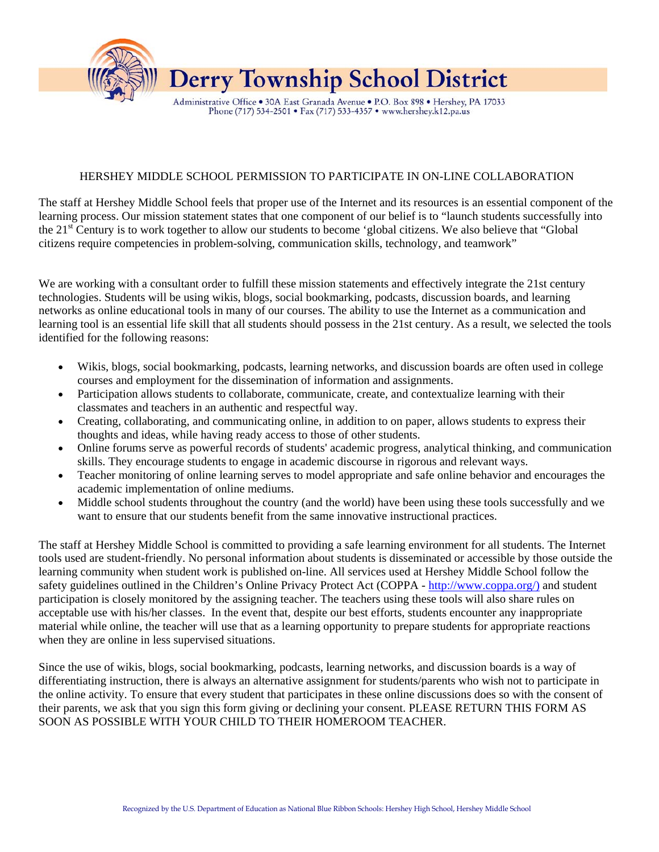

## HERSHEY MIDDLE SCHOOL PERMISSION TO PARTICIPATE IN ON-LINE COLLABORATION

The staff at Hershey Middle School feels that proper use of the Internet and its resources is an essential component of the learning process. Our mission statement states that one component of our belief is to "launch students successfully into the 21st Century is to work together to allow our students to become 'global citizens. We also believe that "Global citizens require competencies in problem-solving, communication skills, technology, and teamwork"

We are working with a consultant order to fulfill these mission statements and effectively integrate the 21st century technologies. Students will be using wikis, blogs, social bookmarking, podcasts, discussion boards, and learning networks as online educational tools in many of our courses. The ability to use the Internet as a communication and learning tool is an essential life skill that all students should possess in the 21st century. As a result, we selected the tools identified for the following reasons:

- Wikis, blogs, social bookmarking, podcasts, learning networks, and discussion boards are often used in college courses and employment for the dissemination of information and assignments.
- Participation allows students to collaborate, communicate, create, and contextualize learning with their classmates and teachers in an authentic and respectful way.
- Creating, collaborating, and communicating online, in addition to on paper, allows students to express their thoughts and ideas, while having ready access to those of other students.
- Online forums serve as powerful records of students' academic progress, analytical thinking, and communication skills. They encourage students to engage in academic discourse in rigorous and relevant ways.
- Teacher monitoring of online learning serves to model appropriate and safe online behavior and encourages the academic implementation of online mediums.
- Middle school students throughout the country (and the world) have been using these tools successfully and we want to ensure that our students benefit from the same innovative instructional practices.

The staff at Hershey Middle School is committed to providing a safe learning environment for all students. The Internet tools used are student-friendly. No personal information about students is disseminated or accessible by those outside the learning community when student work is published on-line. All services used at Hershey Middle School follow the safety guidelines outlined in the Children's Online Privacy Protect Act (COPPA - [http://www.coppa.org/\)](http://www.coppa.org/%29) and student participation is closely monitored by the assigning teacher. The teachers using these tools will also share rules on acceptable use with his/her classes. In the event that, despite our best efforts, students encounter any inappropriate material while online, the teacher will use that as a learning opportunity to prepare students for appropriate reactions when they are online in less supervised situations.

Since the use of wikis, blogs, social bookmarking, podcasts, learning networks, and discussion boards is a way of differentiating instruction, there is always an alternative assignment for students/parents who wish not to participate in the online activity. To ensure that every student that participates in these online discussions does so with the consent of their parents, we ask that you sign this form giving or declining your consent. PLEASE RETURN THIS FORM AS SOON AS POSSIBLE WITH YOUR CHILD TO THEIR HOMEROOM TEACHER.